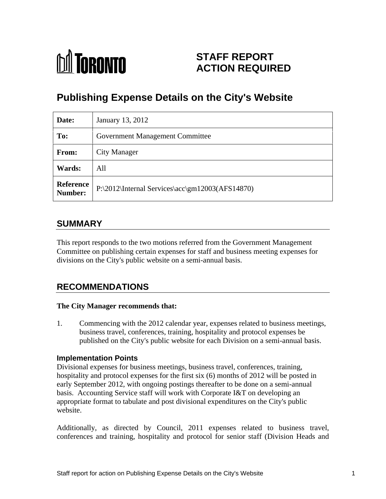

# **STAFF REPORT ACTION REQUIRED**

# **Publishing Expense Details on the City's Website**

| Date:                | January 13, 2012                                               |
|----------------------|----------------------------------------------------------------|
| To:                  | <b>Government Management Committee</b>                         |
| From:                | <b>City Manager</b>                                            |
| <b>Wards:</b>        | All                                                            |
| Reference<br>Number: | $\mathbb{P}$   P:\2012\Internal Services\acc\gm12003(AFS14870) |

# **SUMMARY**

This report responds to the two motions referred from the Government Management Committee on publishing certain expenses for staff and business meeting expenses for divisions on the City's public website on a semi-annual basis.

# **RECOMMENDATIONS**

### **The City Manager recommends that:**

1. Commencing with the 2012 calendar year, expenses related to business meetings, business travel, conferences, training, hospitality and protocol expenses be published on the City's public website for each Division on a semi-annual basis.

## **Implementation Points**

Divisional expenses for business meetings, business travel, conferences, training, hospitality and protocol expenses for the first six (6) months of 2012 will be posted in early September 2012, with ongoing postings thereafter to be done on a semi-annual basis. Accounting Service staff will work with Corporate I&T on developing an appropriate format to tabulate and post divisional expenditures on the City's public website.

Additionally, as directed by Council, 2011 expenses related to business travel, conferences and training, hospitality and protocol for senior staff (Division Heads and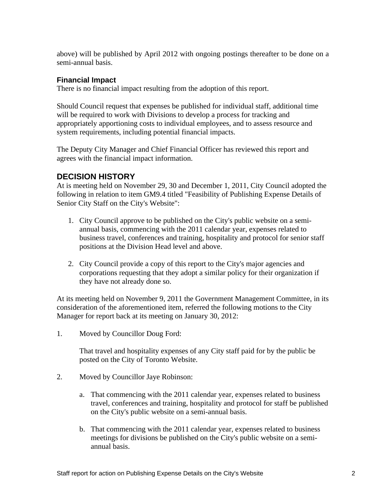above) will be published by April 2012 with ongoing postings thereafter to be done on a semi-annual basis.

## **Financial Impact**

There is no financial impact resulting from the adoption of this report.

Should Council request that expenses be published for individual staff, additional time will be required to work with Divisions to develop a process for tracking and appropriately apportioning costs to individual employees, and to assess resource and system requirements, including potential financial impacts.

The Deputy City Manager and Chief Financial Officer has reviewed this report and agrees with the financial impact information.

# **DECISION HISTORY**

At is meeting held on November 29, 30 and December 1, 2011, City Council adopted the following in relation to item GM9.4 titled "Feasibility of Publishing Expense Details of Senior City Staff on the City's Website":

- 1. City Council approve to be published on the City's public website on a semi annual basis, commencing with the 2011 calendar year, expenses related to business travel, conferences and training, hospitality and protocol for senior staff positions at the Division Head level and above.
- 2. City Council provide a copy of this report to the City's major agencies and corporations requesting that they adopt a similar policy for their organization if they have not already done so.

At its meeting held on November 9, 2011 the Government Management Committee, in its consideration of the aforementioned item, referred the following motions to the City Manager for report back at its meeting on January 30, 2012:

1. Moved by Councillor Doug Ford:

That travel and hospitality expenses of any City staff paid for by the public be posted on the City of Toronto Website.

- 2. Moved by Councillor Jaye Robinson:
	- a. That commencing with the 2011 calendar year, expenses related to business travel, conferences and training, hospitality and protocol for staff be published on the City's public website on a semi-annual basis.
	- b. That commencing with the 2011 calendar year, expenses related to business meetings for divisions be published on the City's public website on a semi annual basis.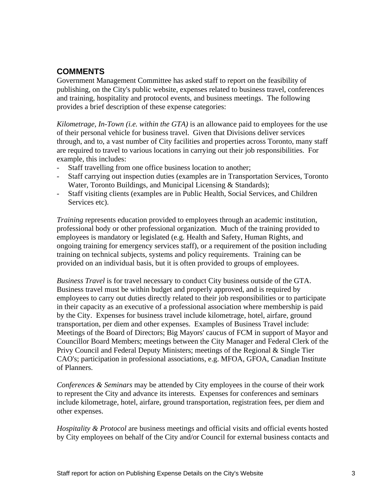# **COMMENTS**

Government Management Committee has asked staff to report on the feasibility of publishing, on the City's public website, expenses related to business travel, conferences and training, hospitality and protocol events, and business meetings. The following provides a brief description of these expense categories:

*Kilometrage, In-Town (i.e. within the GTA)* is an allowance paid to employees for the use of their personal vehicle for business travel. Given that Divisions deliver services through, and to, a vast number of City facilities and properties across Toronto, many staff are required to travel to various locations in carrying out their job responsibilities. For example, this includes:

- Staff travelling from one office business location to another;
- Staff carrying out inspection duties (examples are in Transportation Services, Toronto Water, Toronto Buildings, and Municipal Licensing & Standards);
- Staff visiting clients (examples are in Public Health, Social Services, and Children Services etc...

*Training* represents education provided to employees through an academic institution, professional body or other professional organization. Much of the training provided to employees is mandatory or legislated (e.g. Health and Safety, Human Rights, and ongoing training for emergency services staff), or a requirement of the position including training on technical subjects, systems and policy requirements. Training can be provided on an individual basis, but it is often provided to groups of employees.

*Business Travel* is for travel necessary to conduct City business outside of the GTA. Business travel must be within budget and properly approved, and is required by employees to carry out duties directly related to their job responsibilities or to participate in their capacity as an executive of a professional association where membership is paid by the City. Expenses for business travel include kilometrage, hotel, airfare, ground transportation, per diem and other expenses. Examples of Business Travel include: Meetings of the Board of Directors; Big Mayors' caucus of FCM in support of Mayor and Councillor Board Members; meetings between the City Manager and Federal Clerk of the Privy Council and Federal Deputy Ministers; meetings of the Regional & Single Tier CAO's; participation in professional associations, e.g. MFOA, GFOA, Canadian Institute of Planners.

*Conferences & Seminars* may be attended by City employees in the course of their work to represent the City and advance its interests. Expenses for conferences and seminars include kilometrage, hotel, airfare, ground transportation, registration fees, per diem and other expenses.

*Hospitality & Protocol* are business meetings and official visits and official events hosted by City employees on behalf of the City and/or Council for external business contacts and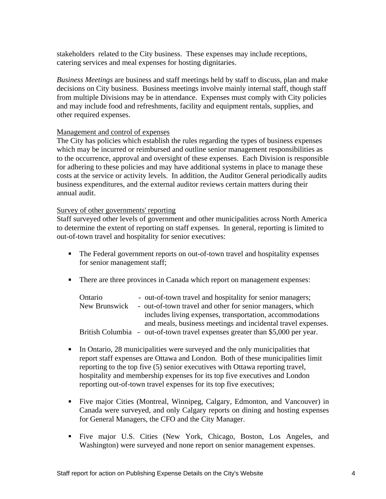stakeholders related to the City business. These expenses may include receptions, catering services and meal expenses for hosting dignitaries.

*Business Meetings* are business and staff meetings held by staff to discuss, plan and make decisions on City business. Business meetings involve mainly internal staff, though staff from multiple Divisions may be in attendance. Expenses must comply with City policies and may include food and refreshments, facility and equipment rentals, supplies, and other required expenses.

### Management and control of expenses

The City has policies which establish the rules regarding the types of business expenses which may be incurred or reimbursed and outline senior management responsibilities as to the occurrence, approval and oversight of these expenses. Each Division is responsible for adhering to these policies and may have additional systems in place to manage these costs at the service or activity levels. In addition, the Auditor General periodically audits business expenditures, and the external auditor reviews certain matters during their annual audit.

#### Survey of other governments' reporting

Staff surveyed other levels of government and other municipalities across North America to determine the extent of reporting on staff expenses. In general, reporting is limited to out-of-town travel and hospitality for senior executives:

- The Federal government reports on out-of-town travel and hospitality expenses for senior management staff;
- There are three provinces in Canada which report on management expenses:

| Ontario                 | - out-of-town travel and hospitality for senior managers;    |
|-------------------------|--------------------------------------------------------------|
| New Brunswick           | - out-of-town travel and other for senior managers, which    |
|                         | includes living expenses, transportation, accommodations     |
|                         | and meals, business meetings and incidental travel expenses. |
| <b>British Columbia</b> | - out-of-town travel expenses greater than \$5,000 per year. |

- In Ontario, 28 municipalities were surveyed and the only municipalities that report staff expenses are Ottawa and London. Both of these municipalities limit reporting to the top five (5) senior executives with Ottawa reporting travel, hospitality and membership expenses for its top five executives and London reporting out-of-town travel expenses for its top five executives;
- Five major Cities (Montreal, Winnipeg, Calgary, Edmonton, and Vancouver) in Canada were surveyed, and only Calgary reports on dining and hosting expenses for General Managers, the CFO and the City Manager.
- Five major U.S. Cities (New York, Chicago, Boston, Los Angeles, and Washington) were surveyed and none report on senior management expenses.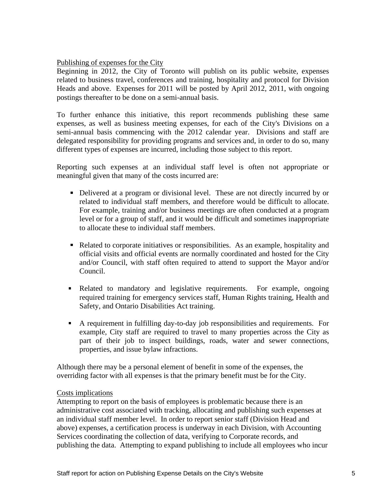### Publishing of expenses for the City

Beginning in 2012, the City of Toronto will publish on its public website, expenses related to business travel, conferences and training, hospitality and protocol for Division Heads and above. Expenses for 2011 will be posted by April 2012, 2011, with ongoing postings thereafter to be done on a semi-annual basis.

To further enhance this initiative, this report recommends publishing these same expenses, as well as business meeting expenses, foreach of the City's Divisions on a semi-annual basis commencing with the 2012 calendar year. Divisions and staff are delegated responsibility for providing programs and services and, in order to do so, many different types of expenses are incurred, including those subject to this report.

Reporting such expenses at an individual staff level is often not appropriate or meaningful given that many of the costs incurred are:

- Delivered at a program or divisional level. These are not directly incurred by or related to individual staff members, and therefore would be difficult to allocate. For example, training and/or business meetings are often conducted at a program level or for a group of staff, and it would be difficult and sometimes inappropriate to allocate these to individual staff members.
- Related to corporate initiatives or responsibilities. As an example, hospitality and official visits and official events are normally coordinated and hosted for the City and/or Council, with staff often required to attend to support the Mayor and/or Council.
- Related to mandatory and legislative requirements. For example, ongoing required training for emergency services staff, Human Rights training, Health and Safety, and Ontario Disabilities Act training.
- $\blacksquare$ A requirement in fulfilling day-to-day job responsibilities and requirements. For example, City staff are required to travel to many properties across the City as part of their job to inspect buildings, roads, water and sewer connections, properties, and issue bylaw infractions.

Although there may be a personal element of benefit in some of the expenses, the overriding factor with all expenses is that the primary benefit must be for the City.

### **Costs implications**

Attempting to report on the basis of employees is problematic because there is an administrative cost associated with tracking, allocating and publishing such expenses at an individual staff member level. In order to report senior staff (Division Head and above) expenses, a certification process is underway in each Division, with Accounting Services coordinating the collection of data, verifying to Corporate records, and publishing the data. Attempting to expand publishing to include all employees who incur